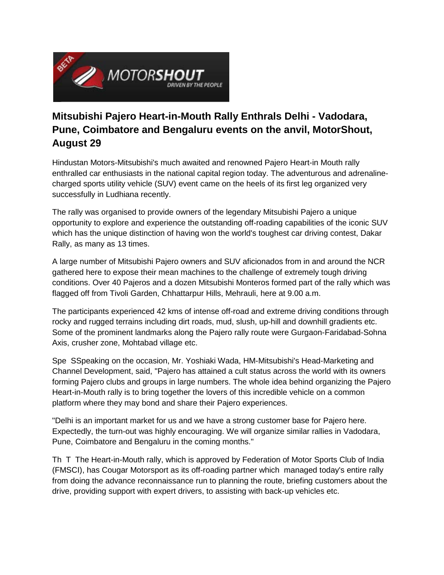

## **Mitsubishi Pajero Heart-in-Mouth Rally Enthrals Delhi - Vadodara, Pune, Coimbatore and Bengaluru events on the anvil, MotorShout, August 29**

Hindustan Motors-Mitsubishi's much awaited and renowned Pajero Heart-in Mouth rally enthralled car enthusiasts in the national capital region today. The adventurous and adrenalinecharged sports utility vehicle (SUV) event came on the heels of its first leg organized very successfully in Ludhiana recently.

The rally was organised to provide owners of the legendary Mitsubishi Pajero a unique opportunity to explore and experience the outstanding off-roading capabilities of the iconic SUV which has the unique distinction of having won the world's toughest car driving contest, Dakar Rally, as many as 13 times.

A large number of Mitsubishi Pajero owners and SUV aficionados from in and around the NCR gathered here to expose their mean machines to the challenge of extremely tough driving conditions. Over 40 Pajeros and a dozen Mitsubishi Monteros formed part of the rally which was flagged off from Tivoli Garden, Chhattarpur Hills, Mehrauli, here at 9.00 a.m.

The participants experienced 42 kms of intense off-road and extreme driving conditions through rocky and rugged terrains including dirt roads, mud, slush, up-hill and downhill gradients etc. Some of the prominent landmarks along the Pajero rally route were Gurgaon-Faridabad-Sohna Axis, crusher zone, Mohtabad village etc.

Spe SSpeaking on the occasion, Mr. Yoshiaki Wada, HM-Mitsubishi's Head-Marketing and Channel Development, said, "Pajero has attained a cult status across the world with its owners forming Pajero clubs and groups in large numbers. The whole idea behind organizing the Pajero Heart-in-Mouth rally is to bring together the lovers of this incredible vehicle on a common platform where they may bond and share their Pajero experiences.

"Delhi is an important market for us and we have a strong customer base for Pajero here. Expectedly, the turn-out was highly encouraging. We will organize similar rallies in Vadodara, Pune, Coimbatore and Bengaluru in the coming months."

Th T The Heart-in-Mouth rally, which is approved by Federation of Motor Sports Club of India (FMSCI), has Cougar Motorsport as its off-roading partner which managed today's entire rally from doing the advance reconnaissance run to planning the route, briefing customers about the drive, providing support with expert drivers, to assisting with back-up vehicles etc.